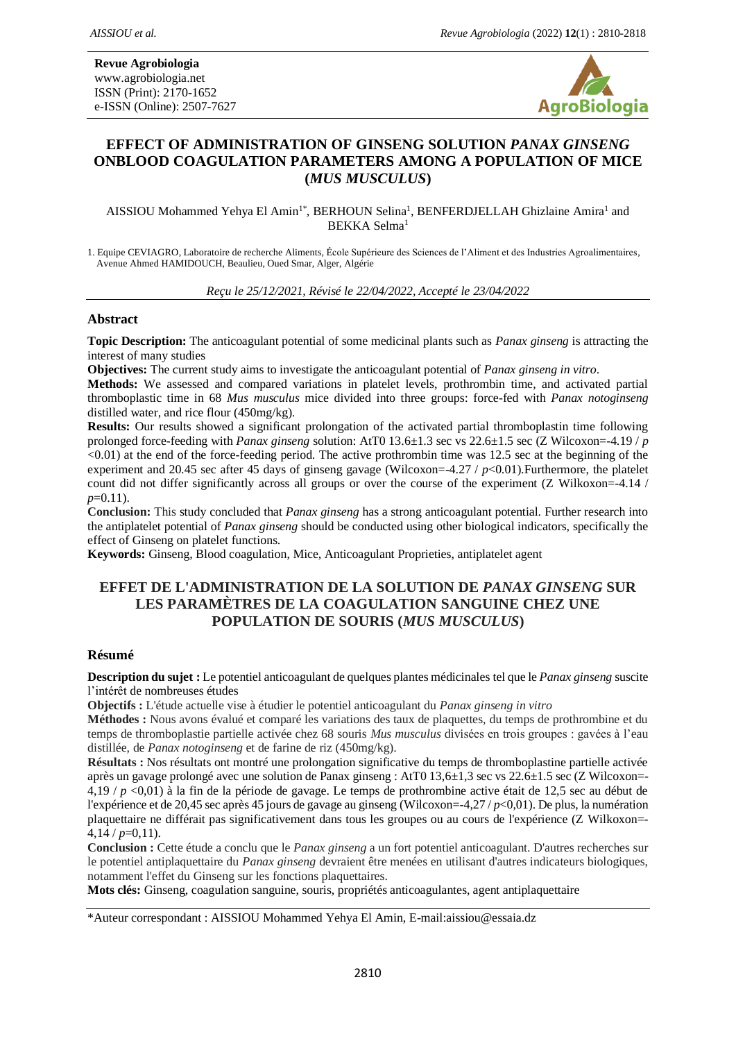

#### **EFFECT OF ADMINISTRATION OF GINSENG SOLUTION** *PANAX GINSENG* **ONBLOOD COAGULATION PARAMETERS AMONG A POPULATION OF MICE (***MUS MUSCULUS***)**

AISSIOU Mohammed Yehya El Amin<sup>1\*</sup>, BERHOUN Selina<sup>1</sup>, BENFERDJELLAH Ghizlaine Amira<sup>1</sup> and BEKKA Selma<sup>1</sup>

1. Equipe CEVIAGRO, Laboratoire de recherche Aliments, École Supérieure des Sciences de l'Aliment et des Industries Agroalimentaires, Avenue Ahmed HAMIDOUCH, Beaulieu, Oued Smar, Alger, Algérie

*Reçu le 25/12/2021, Révisé le 22/04/2022, Accepté le 23/04/2022*

#### **Abstract**

**Topic Description:** The anticoagulant potential of some medicinal plants such as *Panax ginseng* is attracting the interest of many studies

**Objectives:** The current study aims to investigate the anticoagulant potential of *Panax ginseng in vitro*.

**Methods:** We assessed and compared variations in platelet levels, prothrombin time, and activated partial thromboplastic time in 68 *Mus musculus* mice divided into three groups: force-fed with *Panax notoginseng* distilled water, and rice flour (450mg/kg).

**Results:** Our results showed a significant prolongation of the activated partial thromboplastin time following prolonged force-feeding with *Panax ginseng* solution: AtT0 13.6±1.3 sec vs 22.6±1.5 sec (Z Wilcoxon=-4.19 / *p*  $\leq 0.01$ ) at the end of the force-feeding period. The active prothrombin time was 12.5 sec at the beginning of the experiment and 20.45 sec after 45 days of ginseng gavage (Wilcoxon=-4.27 / *p*<0.01).Furthermore, the platelet count did not differ significantly across all groups or over the course of the experiment (Z Wilkoxon=-4.14 / *p*=0.11).

**Conclusion:** This study concluded that *Panax ginseng* has a strong anticoagulant potential. Further research into the antiplatelet potential of *Panax ginseng* should be conducted using other biological indicators, specifically the effect of Ginseng on platelet functions.

**Keywords:** Ginseng, Blood coagulation, Mice, Anticoagulant Proprieties, antiplatelet agent

#### **EFFET DE L'ADMINISTRATION DE LA SOLUTION DE** *PANAX GINSENG* **SUR LES PARAMÈTRES DE LA COAGULATION SANGUINE CHEZ UNE POPULATION DE SOURIS (***MUS MUSCULUS***)**

#### **Résumé**

**Description du sujet :** Le potentiel anticoagulant de quelques plantes médicinales tel que le *Panax ginseng* suscite l'intérêt de nombreuses études

**Objectifs :** L'étude actuelle vise à étudier le potentiel anticoagulant du *Panax ginseng in vitro*

**Méthodes :** Nous avons évalué et comparé les variations des taux de plaquettes, du temps de prothrombine et du temps de thromboplastie partielle activée chez 68 souris *Mus musculus* divisées en trois groupes : gavées à l'eau distillée, de *Panax notoginseng* et de farine de riz (450mg/kg).

**Résultats :** Nos résultats ont montré une prolongation significative du temps de thromboplastine partielle activée après un gavage prolongé avec une solution de Panax ginseng : AtT0 13,6±1,3 sec vs 22.6±1.5 sec (Z Wilcoxon=- 4,19 / *p* <0,01) à la fin de la période de gavage. Le temps de prothrombine active était de 12,5 sec au début de l'expérience et de 20,45 sec après 45 jours de gavage au ginseng (Wilcoxon=-4,27 / *p*<0,01). De plus, la numération plaquettaire ne différait pas significativement dans tous les groupes ou au cours de l'expérience (Z Wilkoxon=-  $4.14 / p=0.11$ .

**Conclusion :** Cette étude a conclu que le *Panax ginseng* a un fort potentiel anticoagulant. D'autres recherches sur le potentiel antiplaquettaire du *Panax ginseng* devraient être menées en utilisant d'autres indicateurs biologiques, notamment l'effet du Ginseng sur les fonctions plaquettaires.

**Mots clés:** Ginseng, coagulation sanguine, souris, propriétés anticoagulantes, agent antiplaquettaire

\*Auteur correspondant : AISSIOU Mohammed Yehya El Amin, E-mail:aissiou@essaia.dz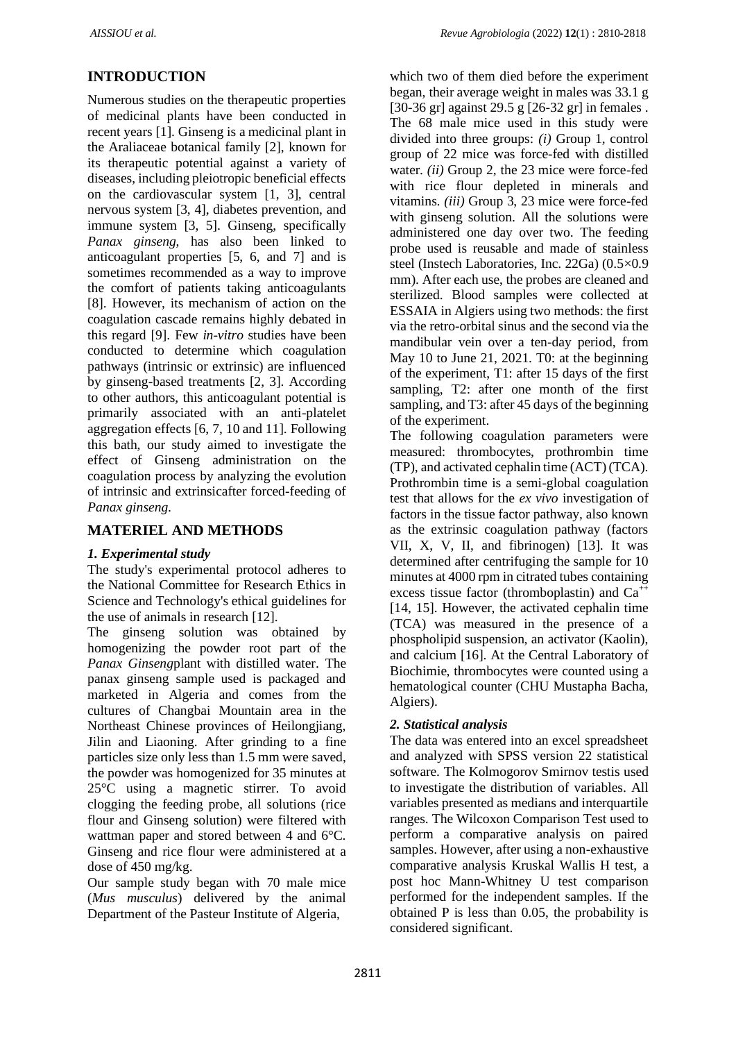# **INTRODUCTION**

Numerous studies on the therapeutic properties of medicinal plants have been conducted in recent years [1]. Ginseng is a medicinal plant in the Araliaceae botanical family [2], known for its therapeutic potential against a variety of diseases, including pleiotropic beneficial effects on the cardiovascular system [1, 3], central nervous system [3, 4], diabetes prevention, and immune system [3, 5]. Ginseng, specifically *Panax ginseng*, has also been linked to anticoagulant properties [5, 6, and 7] and is sometimes recommended as a way to improve the comfort of patients taking anticoagulants [8]. However, its mechanism of action on the coagulation cascade remains highly debated in this regard [9]. Few *in-vitro* studies have been conducted to determine which coagulation pathways (intrinsic or extrinsic) are influenced by ginseng-based treatments [2, 3]. According to other authors, this anticoagulant potential is primarily associated with an anti-platelet aggregation effects [6, 7, 10 and 11]. Following this bath, our study aimed to investigate the effect of Ginseng administration on the coagulation process by analyzing the evolution of intrinsic and extrinsicafter forced-feeding of *Panax ginseng.*

# **MATERIEL AND METHODS**

### *1. Experimental study*

The study's experimental protocol adheres to the National Committee for Research Ethics in Science and Technology's ethical guidelines for the use of animals in research [12].

The ginseng solution was obtained by homogenizing the powder root part of the *Panax Ginseng*plant with distilled water. The panax ginseng sample used is packaged and marketed in Algeria and comes from the cultures of Changbai Mountain area in the Northeast Chinese provinces of Heilongjiang, Jilin and Liaoning. After grinding to a fine particles size only less than 1.5 mm were saved, the powder was homogenized for 35 minutes at 25°C using a magnetic stirrer. To avoid clogging the feeding probe, all solutions (rice flour and Ginseng solution) were filtered with wattman paper and stored between 4 and 6°C. Ginseng and rice flour were administered at a dose of 450 mg/kg.

Our sample study began with 70 male mice (*Mus musculus*) delivered by the animal Department of the Pasteur Institute of Algeria,

which two of them died before the experiment began, their average weight in males was 33.1 g [30-36 gr] against 29.5 g [26-32 gr] in females . The 68 male mice used in this study were divided into three groups: *(i)* Group 1, control group of 22 mice was force-fed with distilled water. *(ii)* Group 2, the 23 mice were force-fed with rice flour depleted in minerals and vitamins. *(iii)* Group 3, 23 mice were force-fed with ginseng solution. All the solutions were administered one day over two. The feeding probe used is reusable and made of stainless steel (Instech Laboratories, Inc. 22Ga) (0.5×0.9 mm). After each use, the probes are cleaned and sterilized. Blood samples were collected at ESSAIA in Algiers using two methods: the first via the retro-orbital sinus and the second via the mandibular vein over a ten-day period, from May 10 to June 21, 2021. T0: at the beginning of the experiment, T1: after 15 days of the first sampling, T2: after one month of the first sampling, and T3: after 45 days of the beginning of the experiment.

The following coagulation parameters were measured: thrombocytes, prothrombin time (TP), and activated cephalin time (ACT) (TCA). Prothrombin time is a semi-global coagulation test that allows for the *ex vivo* investigation of factors in the tissue factor pathway, also known as the extrinsic coagulation pathway (factors VII, X, V, II, and fibrinogen) [13]. It was determined after centrifuging the sample for 10 minutes at 4000 rpm in citrated tubes containing excess tissue factor (thromboplastin) and  $Ca^{++}$ [14, 15]. However, the activated cephalin time (TCA) was measured in the presence of a phospholipid suspension, an activator (Kaolin), and calcium [16]. At the Central Laboratory of Biochimie, thrombocytes were counted using a hematological counter (CHU Mustapha Bacha, Algiers).

### *2. Statistical analysis*

The data was entered into an excel spreadsheet and analyzed with SPSS version 22 statistical software. The Kolmogorov Smirnov testis used to investigate the distribution of variables. All variables presented as medians and interquartile ranges. The Wilcoxon Comparison Test used to perform a comparative analysis on paired samples. However, after using a non-exhaustive comparative analysis Kruskal Wallis H test, a post hoc Mann-Whitney U test comparison performed for the independent samples. If the obtained P is less than 0.05, the probability is considered significant.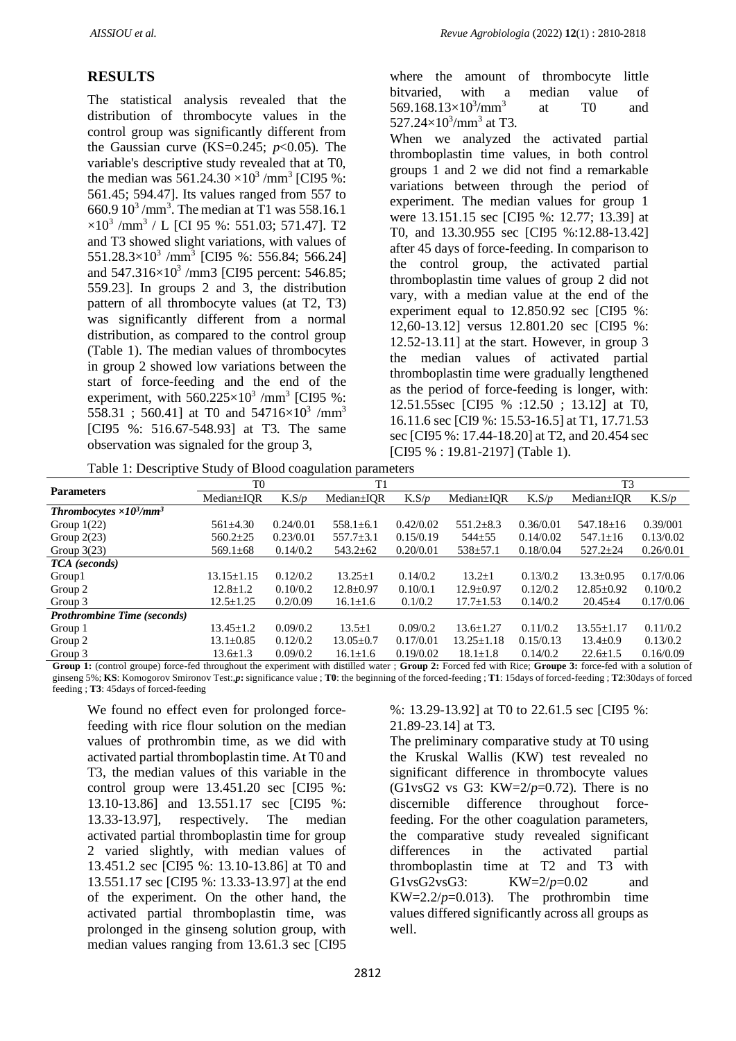### **RESULTS**

The statistical analysis revealed that the distribution of thrombocyte values in the control group was significantly different from the Gaussian curve  $(KS=0.245; p<0.05)$ . The variable's descriptive study revealed that at T0, the median was  $561.24.30 \times 10^3$  /mm<sup>3</sup> [CI95 %: 561.45; 594.47]. Its values ranged from 557 to 660.9  $10^3$ /mm<sup>3</sup>. The median at T1 was 558.16.1  $\times 10^3$  /mm<sup>3</sup> / L [CI 95 %: 551.03; 571.47]. T2 and T3 showed slight variations, with values of  $551.28.3\times10^3$  /mm<sup>3</sup> [CI95 %: 556.84; 566.24] and  $547.316 \times 10^3$  /mm3 [CI95 percent: 546.85; 559.23]. In groups 2 and 3, the distribution pattern of all thrombocyte values (at T2, T3) was significantly different from a normal distribution, as compared to the control group (Table 1). The median values of thrombocytes in group 2 showed low variations between the start of force-feeding and the end of the experiment, with  $560.225 \times 10^3$  /mm<sup>3</sup> [CI95 %: 558.31 ; 560.41] at T0 and 54716 $\times$ 10<sup>3</sup> /mm<sup>3</sup> [CI95 %: 516.67-548.93] at T3. The same observation was signaled for the group 3,

where the amount of thrombocyte little bitvaried, with a median value of 569.168.13 $\times$ 10<sup>3</sup>/mm<sup>3</sup> at T0 and 527.24×10<sup>3</sup>/mm<sup>3</sup> at T3. When we analyzed the activated partial thromboplastin time values, in both control groups 1 and 2 we did not find a remarkable variations between through the period of experiment. The median values for group 1 were 13.151.15 sec [CI95 %: 12.77; 13.39] at T0, and 13.30.955 sec [CI95 %:12.88-13.42] after 45 days of force-feeding. In comparison to the control group, the activated partial thromboplastin time values of group 2 did not vary, with a median value at the end of the experiment equal to 12.850.92 sec [CI95 %: 12,60-13.12] versus 12.801.20 sec [CI95 %: 12.52-13.11] at the start. However, in group 3 the median values of activated partial thromboplastin time were gradually lengthened as the period of force-feeding is longer, with: 12.51.55sec [CI95 % :12.50 ; 13.12] at T0, 16.11.6 sec [CI9 %: 15.53-16.5] at T1, 17.71.53 sec [CI95 %: 17.44-18.20] at T2, and 20.454 sec [CI95 % : 19.81-2197] (Table 1).

Table 1: Descriptive Study of Blood coagulation parameters

|                                             |                  | 70        |                  |           |                  |           |                  |           |
|---------------------------------------------|------------------|-----------|------------------|-----------|------------------|-----------|------------------|-----------|
| <b>Parameters</b>                           | T <sub>0</sub>   |           | T1               |           |                  |           | T <sub>3</sub>   |           |
|                                             | $Median \pm IOR$ | K.S/p     | $Median \pm IOR$ | K.S/p     | $Median \pm IOR$ | K.S/p     | $Median \pm IOR$ | K.S/p     |
| Thrombocytes $\times 10^3$ /mm <sup>3</sup> |                  |           |                  |           |                  |           |                  |           |
| Group $1(22)$                               | $561\pm4.30$     | 0.24/0.01 | $558.1 \pm 6.1$  | 0.42/0.02 | $551.2 \pm 8.3$  | 0.36/0.01 | $547.18 + 16$    | 0.39/001  |
| Group $2(23)$                               | $560.2 \pm 25$   | 0.23/0.01 | $557.7 \pm 3.1$  | 0.15/0.19 | $544 + 55$       | 0.14/0.02 | $547.1 \pm 16$   | 0.13/0.02 |
| Group $3(23)$                               | $569.1 \pm 68$   | 0.14/0.2  | $543.2 \pm 62$   | 0.20/0.01 | $538 \pm 57.1$   | 0.18/0.04 | $527.2 \pm 24$   | 0.26/0.01 |
| TCA (seconds)                               |                  |           |                  |           |                  |           |                  |           |
| Group1                                      | $13.15 + 1.15$   | 0.12/0.2  | $13.25 + 1$      | 0.14/0.2  | $13.2 + 1$       | 0.13/0.2  | $13.3 + 0.95$    | 0.17/0.06 |
| Group 2                                     | $12.8 + 1.2$     | 0.10/0.2  | $12.8 \pm 0.97$  | 0.10/0.1  | $12.9 + 0.97$    | 0.12/0.2  | $12.85 \pm 0.92$ | 0.10/0.2  |
| Group 3                                     | $12.5 \pm 1.25$  | 0.2/0.09  | $16.1 \pm 1.6$   | 0.1/0.2   | $17.7 \pm 1.53$  | 0.14/0.2  | $20.45 \pm 4$    | 0.17/0.06 |
| <b>Prothrombine Time (seconds)</b>          |                  |           |                  |           |                  |           |                  |           |
| Group 1                                     | $13.45 \pm 1.2$  | 0.09/0.2  | $13.5 \pm 1$     | 0.09/0.2  | $13.6 \pm 1.27$  | 0.11/0.2  | $13.55 \pm 1.17$ | 0.11/0.2  |
| Group 2                                     | $13.1 \pm 0.85$  | 0.12/0.2  | $13.05 \pm 0.7$  | 0.17/0.01 | $13.25 \pm 1.18$ | 0.15/0.13 | $13.4 + 0.9$     | 0.13/0.2  |
| Group 3                                     | $13.6 \pm 1.3$   | 0.09/0.2  | $16.1 \pm 1.6$   | 0.19/0.02 | $18.1 \pm 1.8$   | 0.14/0.2  | $22.6 \pm 1.5$   | 0.16/0.09 |

**Group 1:** (control groupe) force-fed throughout the experiment with distilled water ; **Group 2:** Forced fed with Rice; **Groupe 3:** force-fed with a solution of ginseng 5%; **KS**: Komogorov Smironov Test:,*p***:** significance value ; **T0**: the beginning of the forced-feeding ; **T1**: 15days of forced-feeding ; **T2**:30days of forced feeding ; **T3**: 45days of forced-feeding

We found no effect even for prolonged forcefeeding with rice flour solution on the median values of prothrombin time, as we did with activated partial thromboplastin time. At T0 and T3, the median values of this variable in the control group were 13.451.20 sec [CI95 %: 13.10-13.86] and 13.551.17 sec [CI95 %: 13.33-13.97], respectively. The median activated partial thromboplastin time for group 2 varied slightly, with median values of 13.451.2 sec [CI95 %: 13.10-13.86] at T0 and 13.551.17 sec [CI95 %: 13.33-13.97] at the end of the experiment. On the other hand, the activated partial thromboplastin time, was prolonged in the ginseng solution group, with median values ranging from 13.61.3 sec [CI95

%: 13.29-13.92] at T0 to 22.61.5 sec [CI95 %: 21.89-23.14] at T3.

The preliminary comparative study at T0 using the Kruskal Wallis (KW) test revealed no significant difference in thrombocyte values (G1vsG2 vs G3: KW=2/*p*=0.72). There is no discernible difference throughout forcefeeding. For the other coagulation parameters, the comparative study revealed significant differences in the activated partial thromboplastin time at T2 and T3 with G1vsG2vsG3: KW=2/*p*=0.02 and KW=2.2/ $p$ =0.013). The prothrombin time values differed significantly across all groups as well.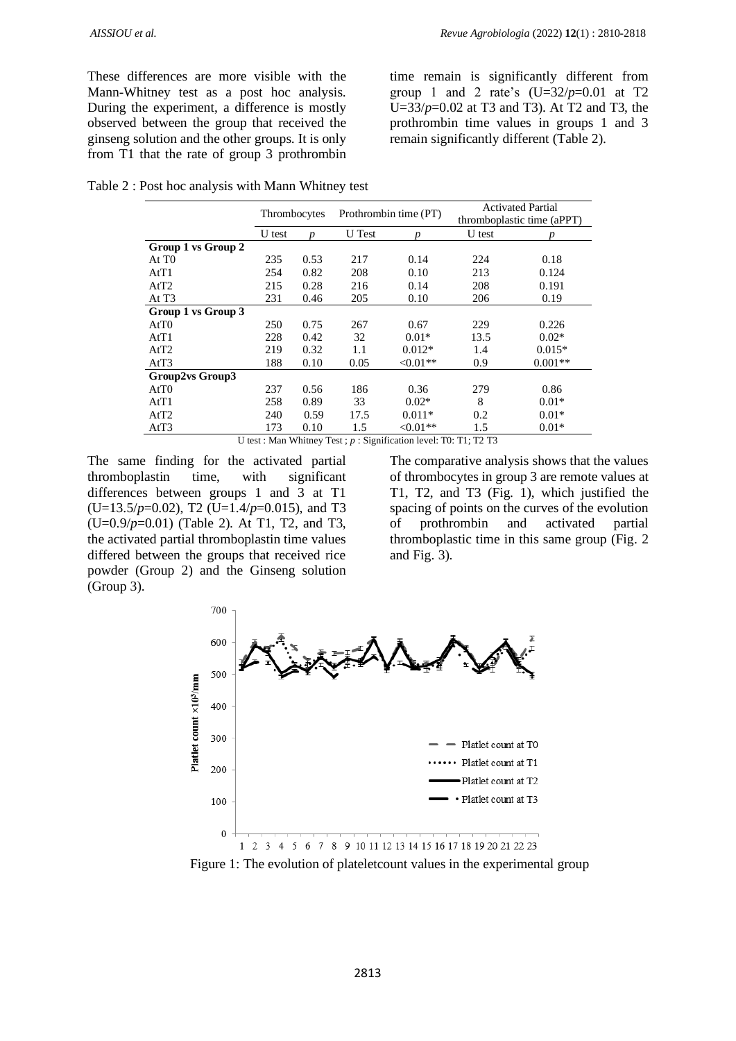These differences are more visible with the Mann-Whitney test as a post hoc analysis. During the experiment, a difference is mostly observed between the group that received the ginseng solution and the other groups. It is only from T1 that the rate of group 3 prothrombin

time remain is significantly different from group 1 and 2 rate's  $(U=32/p=0.01$  at T2 U=33/*p*=0.02 at T3 and T3). At T2 and T3, the prothrombin time values in groups 1 and 3 remain significantly different (Table 2).

Table 2 : Post hoc analysis with Mann Whitney test

|                                                                          | Thrombocytes |      | Prothrombin time (PT) |           | <b>Activated Partial</b>   |           |  |
|--------------------------------------------------------------------------|--------------|------|-----------------------|-----------|----------------------------|-----------|--|
|                                                                          |              |      |                       |           | thromboplastic time (aPPT) |           |  |
|                                                                          | U test       |      | <b>U</b> Test         |           | U test                     |           |  |
| Group 1 vs Group 2                                                       |              |      |                       |           |                            |           |  |
| At T <sub>0</sub>                                                        | 235          | 0.53 | 217                   | 0.14      | 224                        | 0.18      |  |
| AtT1                                                                     | 254          | 0.82 | 208                   | 0.10      | 213                        | 0.124     |  |
| AtT2                                                                     | 215          | 0.28 | 216                   | 0.14      | 208                        | 0.191     |  |
| At T <sub>3</sub>                                                        | 231          | 0.46 | 205                   | 0.10      | 206                        | 0.19      |  |
| Group 1 vs Group 3                                                       |              |      |                       |           |                            |           |  |
| AtT0                                                                     | 250          | 0.75 | 267                   | 0.67      | 229                        | 0.226     |  |
| AtT1                                                                     | 228          | 0.42 | 32                    | $0.01*$   | 13.5                       | $0.02*$   |  |
| AtT2                                                                     | 219          | 0.32 | 1.1                   | $0.012*$  | 1.4                        | $0.015*$  |  |
| AtT3                                                                     | 188          | 0.10 | 0.05                  | $<0.01**$ | 0.9                        | $0.001**$ |  |
| Group2vs Group3                                                          |              |      |                       |           |                            |           |  |
| AtT0                                                                     | 237          | 0.56 | 186                   | 0.36      | 279                        | 0.86      |  |
| AtT1                                                                     | 258          | 0.89 | 33                    | $0.02*$   | 8                          | $0.01*$   |  |
| AtT2                                                                     | 240          | 0.59 | 17.5                  | $0.011*$  | 0.2                        | $0.01*$   |  |
| AtT3                                                                     | 173          | 0.10 | 1.5                   | $<0.01**$ | 1.5                        | $0.01*$   |  |
| I Lest : Man Whitney Test : $n \cdot$ Signification level: T0: T1: T2 T3 |              |      |                       |           |                            |           |  |

n level: T0: T1: T2 T3

The same finding for the activated partial thromboplastin time, with significant differences between groups 1 and 3 at T1 (U=13.5/*p*=0.02), T2 (U=1.4/*p*=0.015), and T3 (U=0.9/*p*=0.01) (Table 2). At T1, T2, and T3, the activated partial thromboplastin time values differed between the groups that received rice powder (Group 2) and the Ginseng solution (Group 3).

The comparative analysis shows that the values of thrombocytes in group 3 are remote values at T1, T2, and T3 (Fig. 1), which justified the spacing of points on the curves of the evolution of prothrombin and activated partial thromboplastic time in this same group (Fig. 2 and Fig. 3).



Figure 1: The evolution of plateletcount values in the experimental group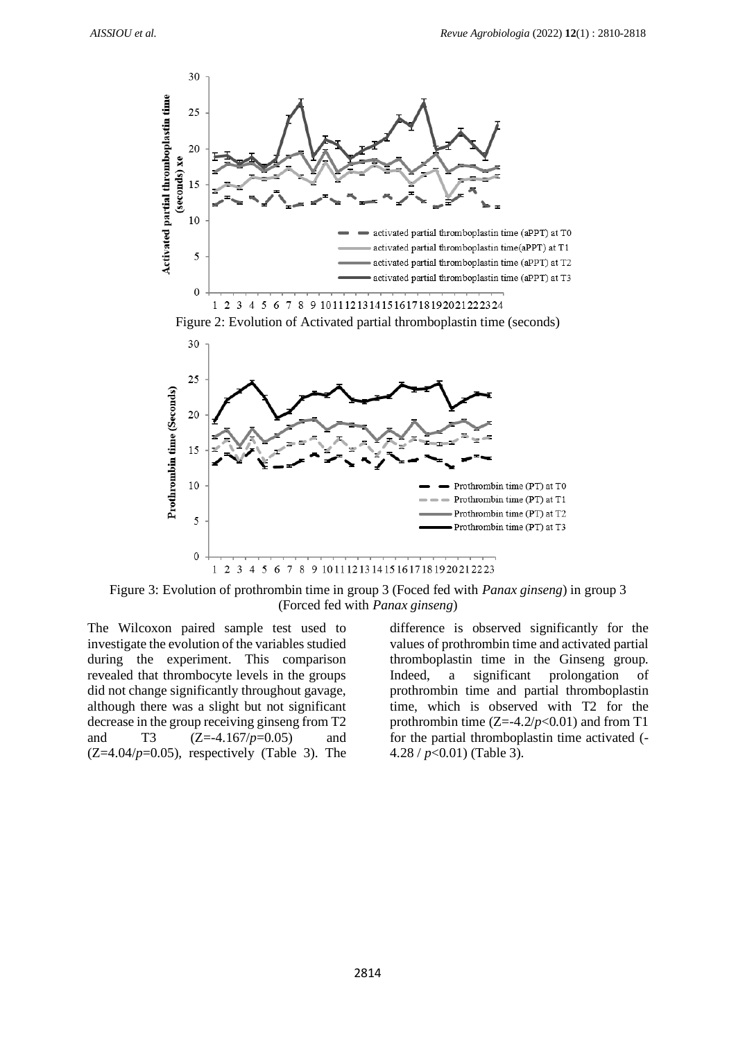

Figure 3: Evolution of prothrombin time in group 3 (Foced fed with *Panax ginseng*) in group 3 (Forced fed with *Panax ginseng*)

The Wilcoxon paired sample test used to investigate the evolution of the variables studied during the experiment. This comparison revealed that thrombocyte levels in the groups did not change significantly throughout gavage, although there was a slight but not significant decrease in the group receiving ginseng from T2 and T3 (Z=-4.167/*p*=0.05) and  $(Z=4.04/p=0.05)$ , respectively (Table 3). The

difference is observed significantly for the values of prothrombin time and activated partial thromboplastin time in the Ginseng group. Indeed, a significant prolongation of prothrombin time and partial thromboplastin time, which is observed with T2 for the prothrombin time  $(Z=4.2/p<0.01)$  and from T1 for the partial thromboplastin time activated (- 4.28 / *p*<0.01) (Table 3).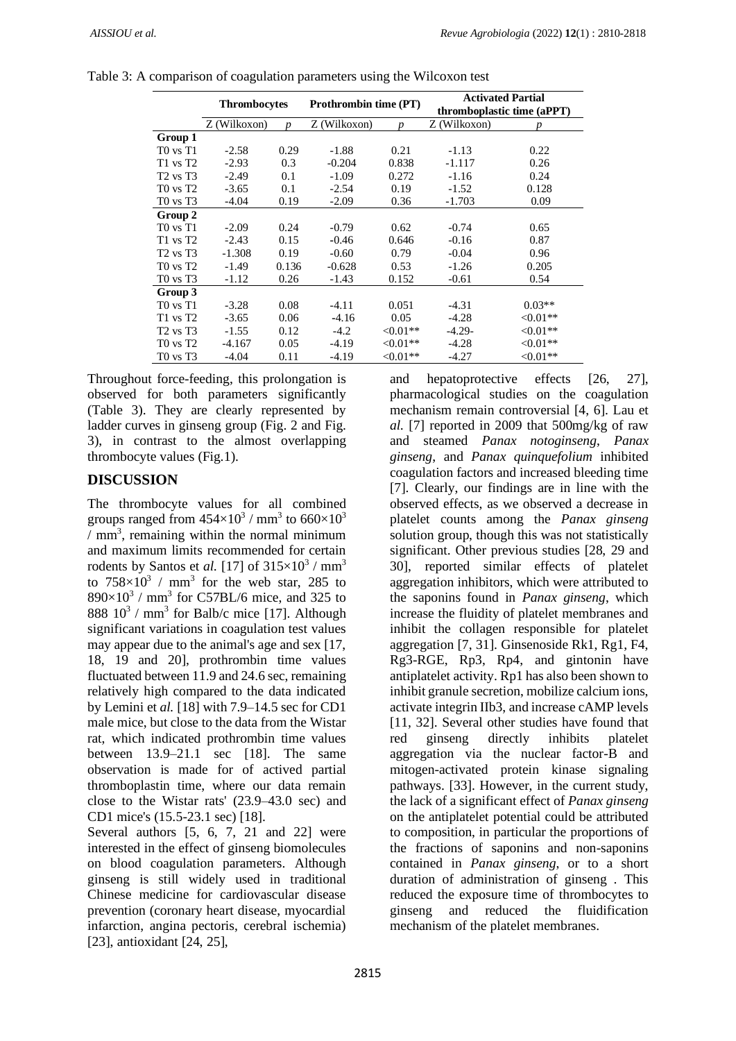|                                  | <b>Thrombocytes</b> |       | <b>Prothrombin time (PT)</b> |             | <b>Activated Partial</b><br>thromboplastic time (aPPT) |             |  |
|----------------------------------|---------------------|-------|------------------------------|-------------|--------------------------------------------------------|-------------|--|
|                                  | Z (Wilkoxon)        | n     | Z (Wilkoxon)                 | n           | Z (Wilkoxon)                                           | n           |  |
| Group 1                          |                     |       |                              |             |                                                        |             |  |
| $T0$ vs $T1$                     | $-2.58$             | 0.29  | $-1.88$                      | 0.21        | $-1.13$                                                | 0.22        |  |
| $T1$ vs $T2$                     | $-2.93$             | 0.3   | $-0.204$                     | 0.838       | $-1.117$                                               | 0.26        |  |
| $T2$ vs $T3$                     | $-2.49$             | 0.1   | $-1.09$                      | 0.272       | $-1.16$                                                | 0.24        |  |
| $T0$ vs $T2$                     | $-3.65$             | 0.1   | $-2.54$                      | 0.19        | $-1.52$                                                | 0.128       |  |
| $T0$ vs $T3$                     | $-4.04$             | 0.19  | $-2.09$                      | 0.36        | $-1.703$                                               | 0.09        |  |
| Group 2                          |                     |       |                              |             |                                                        |             |  |
| $T0$ vs $T1$                     | $-2.09$             | 0.24  | $-0.79$                      | 0.62        | $-0.74$                                                | 0.65        |  |
| $T1$ vs $T2$                     | $-2.43$             | 0.15  | $-0.46$                      | 0.646       | $-0.16$                                                | 0.87        |  |
| $T2$ vs $T3$                     | $-1.308$            | 0.19  | $-0.60$                      | 0.79        | $-0.04$                                                | 0.96        |  |
| $T0$ vs $T2$                     | $-1.49$             | 0.136 | $-0.628$                     | 0.53        | $-1.26$                                                | 0.205       |  |
| T <sub>0</sub> vs T <sub>3</sub> | $-1.12$             | 0.26  | $-1.43$                      | 0.152       | $-0.61$                                                | 0.54        |  |
| Group 3                          |                     |       |                              |             |                                                        |             |  |
| T0 vs T1                         | $-3.28$             | 0.08  | $-4.11$                      | 0.051       | $-4.31$                                                | $0.03**$    |  |
| $T1$ vs $T2$                     | $-3.65$             | 0.06  | $-4.16$                      | 0.05        | $-4.28$                                                | ${<}0.01**$ |  |
| T <sub>2</sub> vs T <sub>3</sub> | $-1.55$             | 0.12  | $-4.2$                       | $<0.01**$   | $-4.29-$                                               | $<0.01**$   |  |
| T <sub>0</sub> vs T <sub>2</sub> | $-4.167$            | 0.05  | $-4.19$                      | $<0.01**$   | $-4.28$                                                | $<0.01**$   |  |
| T <sub>0</sub> vs T <sub>3</sub> | $-4.04$             | 0.11  | $-4.19$                      | ${<}0.01**$ | $-4.27$                                                | $<0.01**$   |  |

Table 3: A comparison of coagulation parameters using the Wilcoxon test

Throughout force-feeding, this prolongation is observed for both parameters significantly (Table 3). They are clearly represented by ladder curves in ginseng group (Fig. 2 and Fig. 3), in contrast to the almost overlapping thrombocyte values (Fig.1).

## **DISCUSSION**

The thrombocyte values for all combined groups ranged from  $454\times10^3$  / mm<sup>3</sup> to  $660\times10^3$  $/mm<sup>3</sup>$ , remaining within the normal minimum and maximum limits recommended for certain rodents by Santos et *al*. [17] of  $315\times10^3$  / mm<sup>3</sup> to  $758 \times 10^3$  / mm<sup>3</sup> for the web star, 285 to  $890\times10^{3}$  / mm<sup>3</sup> for C57BL/6 mice, and 325 to 888  $10^3$  / mm<sup>3</sup> for Balb/c mice [17]. Although significant variations in coagulation test values may appear due to the animal's age and sex [17, 18, 19 and 20], prothrombin time values fluctuated between 11.9 and 24.6 sec, remaining relatively high compared to the data indicated by Lemini et *al.* [18] with 7.9–14.5 sec for CD1 male mice, but close to the data from the Wistar rat, which indicated prothrombin time values between 13.9–21.1 sec [18]. The same observation is made for of actived partial thromboplastin time, where our data remain close to the Wistar rats' (23.9–43.0 sec) and CD1 mice's (15.5-23.1 sec) [18].

Several authors [5, 6, 7, 21 and 22] were interested in the effect of ginseng biomolecules on blood coagulation parameters. Although ginseng is still widely used in traditional Chinese medicine for cardiovascular disease prevention (coronary heart disease, myocardial infarction, angina pectoris, cerebral ischemia) [23], antioxidant [24, 25],

and hepatoprotective effects [26, 27], pharmacological studies on the coagulation mechanism remain controversial [4, 6]. Lau et *al.* [7] reported in 2009 that 500mg/kg of raw and steamed *Panax notoginseng*, *Panax ginseng*, and *Panax quinquefolium* inhibited coagulation factors and increased bleeding time [7]. Clearly, our findings are in line with the observed effects, as we observed a decrease in platelet counts among the *Panax ginseng* solution group, though this was not statistically significant. Other previous studies [28, 29 and 30], reported similar effects of platelet aggregation inhibitors, which were attributed to the saponins found in *Panax ginseng*, which increase the fluidity of platelet membranes and inhibit the collagen responsible for platelet aggregation [7, 31]. Ginsenoside Rk1, Rg1, F4, Rg3-RGE, Rp3, Rp4, and gintonin have antiplatelet activity. Rp1 has also been shown to inhibit granule secretion, mobilize calcium ions, activate integrin IIb3, and increase cAMP levels [11, 32]. Several other studies have found that red ginseng directly inhibits platelet aggregation via the nuclear factor-B and mitogen-activated protein kinase signaling pathways. [33]. However, in the current study, the lack of a significant effect of *Panax ginseng* on the antiplatelet potential could be attributed to composition, in particular the proportions of the fractions of saponins and non-saponins contained in *Panax ginseng*, or to a short duration of administration of ginseng . This reduced the exposure time of thrombocytes to ginseng and reduced the fluidification mechanism of the platelet membranes.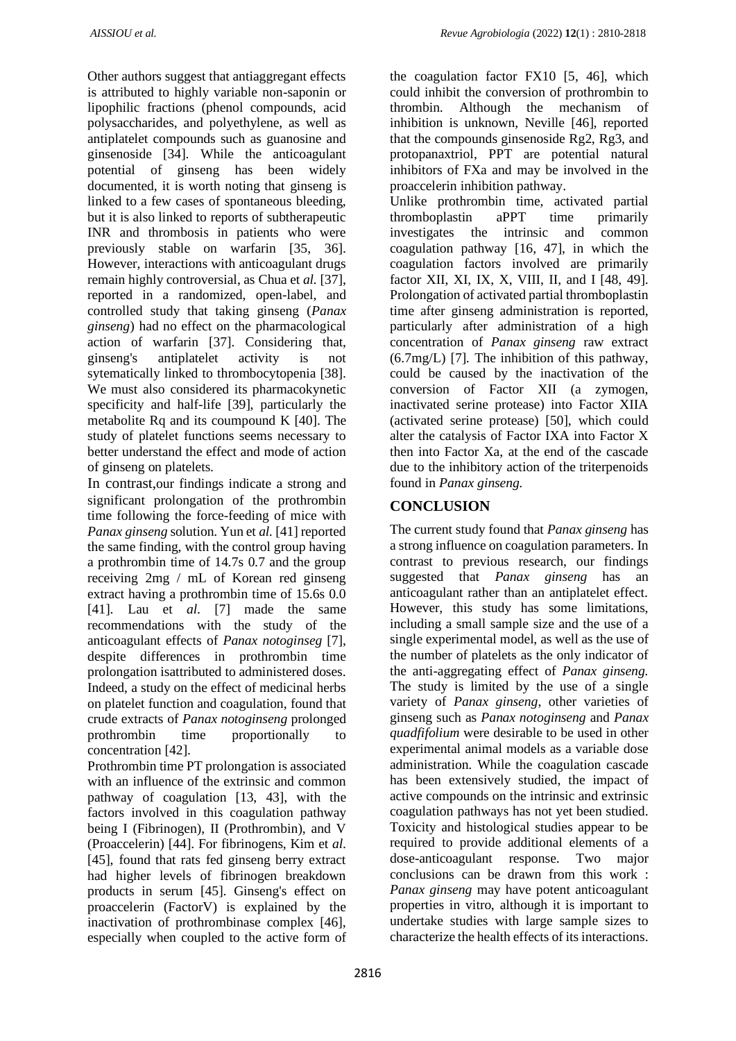Other authors suggest that antiaggregant effects is attributed to highly variable non-saponin or lipophilic fractions (phenol compounds, acid polysaccharides, and polyethylene, as well as antiplatelet compounds such as guanosine and ginsenoside [34]. While the anticoagulant potential of ginseng has been widely documented, it is worth noting that ginseng is linked to a few cases of spontaneous bleeding, but it is also linked to reports of subtherapeutic INR and thrombosis in patients who were previously stable on warfarin [35, 36]. However, interactions with anticoagulant drugs remain highly controversial, as Chua et *al.* [37], reported in a randomized, open-label, and controlled study that taking ginseng (*Panax ginseng*) had no effect on the pharmacological action of warfarin [37]. Considering that, ginseng's antiplatelet activity is not sytematically linked to thrombocytopenia [38]. We must also considered its pharmacokynetic specificity and half-life [39], particularly the metabolite Rq and its coumpound K [40]. The study of platelet functions seems necessary to better understand the effect and mode of action of ginseng on platelets.

In contrast,our findings indicate a strong and significant prolongation of the prothrombin time following the force-feeding of mice with *Panax ginseng* solution. Yun et *al.* [41] reported the same finding, with the control group having a prothrombin time of 14.7s 0.7 and the group receiving 2mg / mL of Korean red ginseng extract having a prothrombin time of 15.6s 0.0 [41]. Lau et *al*. [7] made the same recommendations with the study of the anticoagulant effects of *Panax notoginseg* [7], despite differences in prothrombin time prolongation isattributed to administered doses. Indeed, a study on the effect of medicinal herbs on platelet function and coagulation, found that crude extracts of *Panax notoginseng* prolonged prothrombin time proportionally to concentration [42].

Prothrombin time PT prolongation is associated with an influence of the extrinsic and common pathway of coagulation [13, 43], with the factors involved in this coagulation pathway being I (Fibrinogen), II (Prothrombin), and V (Proaccelerin) [44]. For fibrinogens, Kim et *al*. [45], found that rats fed ginseng berry extract had higher levels of fibrinogen breakdown products in serum [45]. Ginseng's effect on proaccelerin (FactorV) is explained by the inactivation of prothrombinase complex [46], especially when coupled to the active form of the coagulation factor FX10 [5, 46], which could inhibit the conversion of prothrombin to thrombin. Although the mechanism of inhibition is unknown, Neville [46], reported that the compounds ginsenoside Rg2, Rg3, and protopanaxtriol, PPT are potential natural inhibitors of FXa and may be involved in the proaccelerin inhibition pathway.

Unlike prothrombin time, activated partial thromboplastin aPPT time primarily investigates the intrinsic and common coagulation pathway [16, 47], in which the coagulation factors involved are primarily factor XII, XI, IX, X, VIII, II, and I [48, 49]. Prolongation of activated partial thromboplastin time after ginseng administration is reported, particularly after administration of a high concentration of *Panax ginseng* raw extract (6.7mg/L) [7]. The inhibition of this pathway, could be caused by the inactivation of the conversion of Factor XII (a zymogen, inactivated serine protease) into Factor XIIA (activated serine protease) [50], which could alter the catalysis of Factor IXA into Factor X then into Factor Xa, at the end of the cascade due to the inhibitory action of the triterpenoids found in *Panax ginseng.*

# **CONCLUSION**

The current study found that *Panax ginseng* has a strong influence on coagulation parameters. In contrast to previous research, our findings suggested that *Panax ginseng* has an anticoagulant rather than an antiplatelet effect. However, this study has some limitations, including a small sample size and the use of a single experimental model, as well as the use of the number of platelets as the only indicator of the anti-aggregating effect of *Panax ginseng.*  The study is limited by the use of a single variety of *Panax ginseng*, other varieties of ginseng such as *Panax notoginseng* and *Panax quadfifolium* were desirable to be used in other experimental animal models as a variable dose administration. While the coagulation cascade has been extensively studied, the impact of active compounds on the intrinsic and extrinsic coagulation pathways has not yet been studied. Toxicity and histological studies appear to be required to provide additional elements of a dose-anticoagulant response. Two major conclusions can be drawn from this work : *Panax ginseng* may have potent anticoagulant properties in vitro, although it is important to undertake studies with large sample sizes to characterize the health effects of its interactions.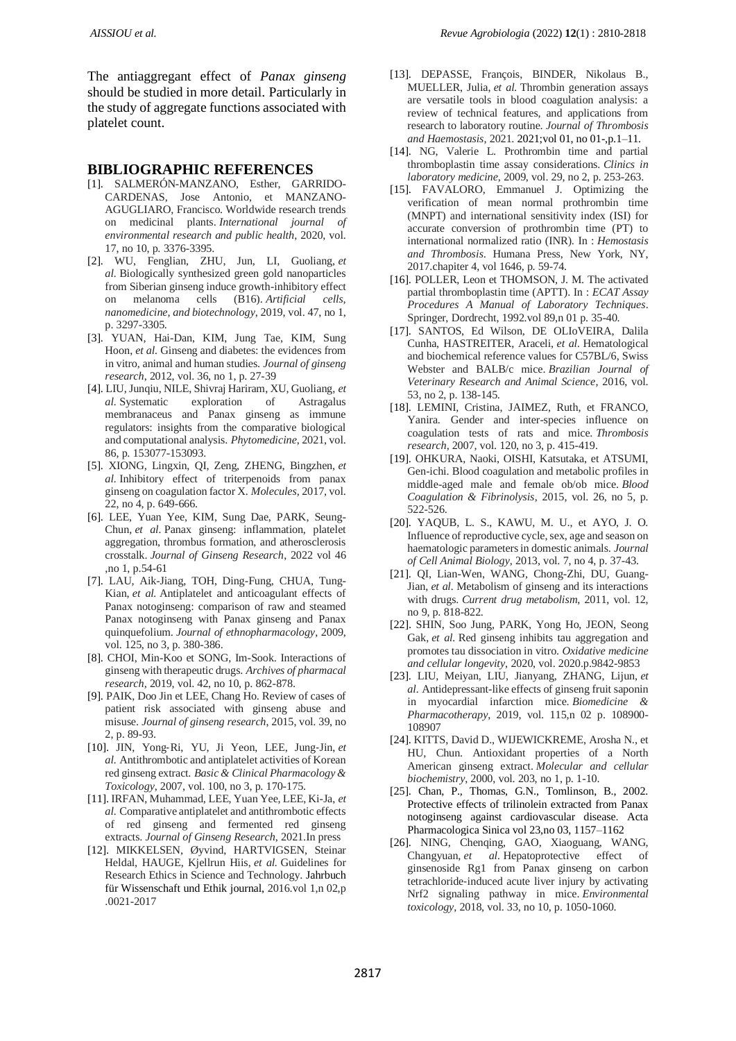The antiaggregant effect of *Panax ginseng* should be studied in more detail. Particularly in the study of aggregate functions associated with platelet count.

#### **BIBLIOGRAPHIC REFERENCES**

- [1]. SALMERÓN-MANZANO, Esther, GARRIDO-CARDENAS, Jose Antonio, et MANZANO-AGUGLIARO, Francisco. Worldwide research trends on medicinal plants. *International journal of environmental research and public health*, 2020, vol. 17, no 10, p. 3376-3395.
- [2]. WU, Fenglian, ZHU, Jun, LI, Guoliang, *et al.* Biologically synthesized green gold nanoparticles from Siberian ginseng induce growth-inhibitory effect on melanoma cells (B16). *Artificial cells, nanomedicine, and biotechnology*, 2019, vol. 47, no 1, p. 3297-3305.
- [3]. YUAN, Hai-Dan, KIM, Jung Tae, KIM, Sung Hoon, *et al.* Ginseng and diabetes: the evidences from in vitro, animal and human studies. *Journal of ginseng research*, 2012, vol. 36, no 1, p. 27-39
- [4]. LIU, Junqiu, NILE, Shivraj Hariram, XU, Guoliang, *et al.* Systematic exploration of Astragalus membranaceus and Panax ginseng as immune regulators: insights from the comparative biological and computational analysis. *Phytomedicine*, 2021, vol. 86, p. 153077-153093.
- [5]. XIONG, Lingxin, QI, Zeng, ZHENG, Bingzhen, *et al.* Inhibitory effect of triterpenoids from panax ginseng on coagulation factor X. *Molecules*, 2017, vol. 22, no 4, p. 649-666.
- [6]. LEE, Yuan Yee, KIM, Sung Dae, PARK, Seung-Chun, *et al.* Panax ginseng: inflammation, platelet aggregation, thrombus formation, and atherosclerosis crosstalk. *Journal of Ginseng Research*, 2022 vol 46 ,no 1, p.54-61
- [7]. LAU, Aik-Jiang, TOH, Ding-Fung, CHUA, Tung-Kian, *et al.* Antiplatelet and anticoagulant effects of Panax notoginseng: comparison of raw and steamed Panax notoginseng with Panax ginseng and Panax quinquefolium. *Journal of ethnopharmacology*, 2009, vol. 125, no 3, p. 380-386.
- [8]. CHOI, Min-Koo et SONG, Im-Sook. Interactions of ginseng with therapeutic drugs. *Archives of pharmacal research*, 2019, vol. 42, no 10, p. 862-878.
- [9]. PAIK, Doo Jin et LEE, Chang Ho. Review of cases of patient risk associated with ginseng abuse and misuse. *Journal of ginseng research*, 2015, vol. 39, no 2, p. 89-93.
- [10]. JIN, Yong‐Ri, YU, Ji Yeon, LEE, Jung‐Jin, *et al.* Antithrombotic and antiplatelet activities of Korean red ginseng extract. *Basic & Clinical Pharmacology & Toxicology*, 2007, vol. 100, no 3, p. 170-175.
- [11]. IRFAN, Muhammad, LEE, Yuan Yee, LEE, Ki-Ja, *et al.* Comparative antiplatelet and antithrombotic effects of red ginseng and fermented red ginseng extracts. *Journal of Ginseng Research*, 2021.In press
- [12]. MIKKELSEN, Øyvind, HARTVIGSEN, Steinar Heldal, HAUGE, Kjellrun Hiis, *et al.* Guidelines for Research Ethics in Science and Technology. [Jahrbuch](https://www.degruyter.com/journal/key/jfwe/html)  [für Wissenschaft und Ethik](https://www.degruyter.com/journal/key/jfwe/html) journal, 2016.vol 1,n 02,p .0021-2017
- [13]. DEPASSE, François, BINDER, Nikolaus B., MUELLER, Julia, *et al.* Thrombin generation assays are versatile tools in blood coagulation analysis: a review of technical features, and applications from research to laboratory routine. *Journal of Thrombosis and Haemostasis*, 2021. 2021;vol 01, no 01-,p.1–11.
- [14]. NG, Valerie L. Prothrombin time and partial thromboplastin time assay considerations. *Clinics in laboratory medicine*, 2009, vol. 29, no 2, p. 253-263.
- [15]. FAVALORO, Emmanuel J. Optimizing the verification of mean normal prothrombin time (MNPT) and international sensitivity index (ISI) for accurate conversion of prothrombin time (PT) to international normalized ratio (INR). In : *Hemostasis and Thrombosis*. Humana Press, New York, NY, 2017.chapiter 4, vol 1646, p. 59-74.
- [16]. POLLER, Leon et THOMSON, J. M. The activated partial thromboplastin time (APTT). In : *ECAT Assay Procedures A Manual of Laboratory Techniques*. Springer, Dordrecht, 1992.vol 89,n 01 p. 35-40.
- [17]. SANTOS, Ed Wilson, DE OLIoVEIRA, Dalila Cunha, HASTREITER, Araceli, *et al.* Hematological and biochemical reference values for C57BL/6, Swiss Webster and BALB/c mice. *Brazilian Journal of Veterinary Research and Animal Science*, 2016, vol. 53, no 2, p. 138-145.
- [18]. LEMINI, Cristina, JAIMEZ, Ruth, et FRANCO, Yanira. Gender and inter-species influence on coagulation tests of rats and mice. *Thrombosis research*, 2007, vol. 120, no 3, p. 415-419.
- [19]. OHKURA, Naoki, OISHI, Katsutaka, et ATSUMI, Gen-ichi. Blood coagulation and metabolic profiles in middle-aged male and female ob/ob mice. *Blood Coagulation & Fibrinolysis*, 2015, vol. 26, no 5, p. 522-526.
- [20]. YAQUB, L. S., KAWU, M. U., et AYO, J. O. Influence of reproductive cycle, sex, age and season on haematologic parameters in domestic animals. *Journal of Cell Animal Biology*, 2013, vol. 7, no 4, p. 37-43.
- [21]. QI, Lian-Wen, WANG, Chong-Zhi, DU, Guang-Jian, *et al.* Metabolism of ginseng and its interactions with drugs. *Current drug metabolism*, 2011, vol. 12, no 9, p. 818-822.
- [22]. SHIN, Soo Jung, PARK, Yong Ho, JEON, Seong Gak, *et al.* Red ginseng inhibits tau aggregation and promotes tau dissociation in vitro. *Oxidative medicine and cellular longevity*, 2020, vol. 2020.p.9842-9853
- [23]. LIU, Meiyan, LIU, Jianyang, ZHANG, Lijun, *et al.* Antidepressant-like effects of ginseng fruit saponin in myocardial infarction mice. *Biomedicine & Pharmacotherapy*, 2019, vol. 115,n 02 p. 108900- 108907
- [24]. KITTS, David D., WIJEWICKREME, Arosha N., et HU, Chun. Antioxidant properties of a North American ginseng extract. *Molecular and cellular biochemistry*, 2000, vol. 203, no 1, p. 1-10.
- [25]. Chan, P., Thomas, G.N., Tomlinson, B., 2002. Protective effects of trilinolein extracted from Panax notoginseng against cardiovascular disease. Acta Pharmacologica Sinica vol 23,no 03, 1157–1162
- [26]. NING, Chenqing, GAO, Xiaoguang, WANG, Changyuan, et al. Hepatoprotective effect of ginsenoside Rg1 from Panax ginseng on carbon tetrachloride‐induced acute liver injury by activating Nrf2 signaling pathway in mice. *Environmental toxicology*, 2018, vol. 33, no 10, p. 1050-1060.